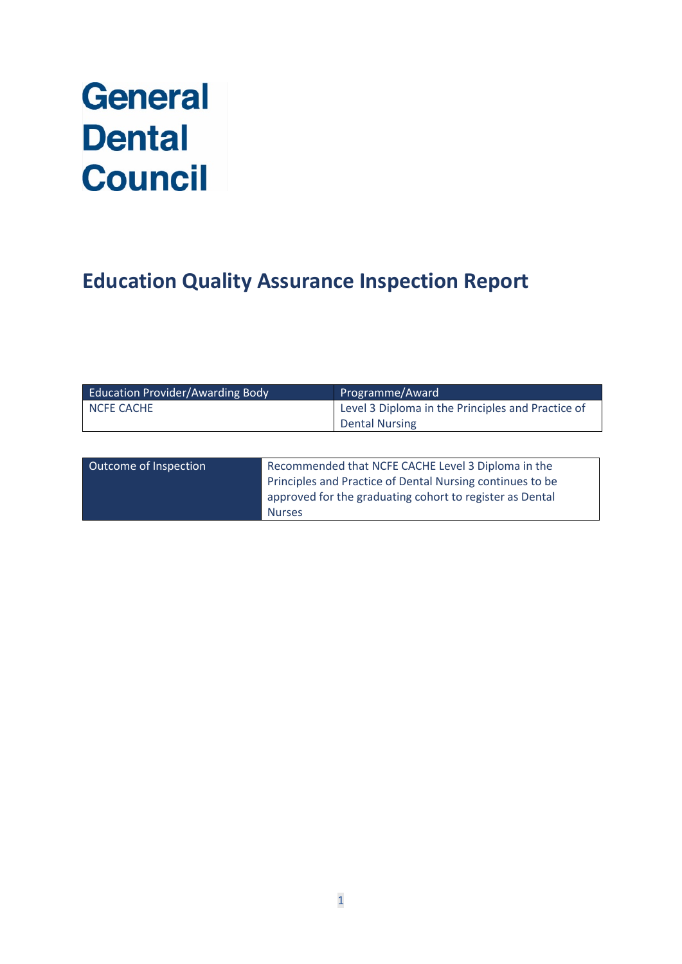# **General Dental Council**

# **Education Quality Assurance Inspection Report**

| <b>Education Provider/Awarding Body</b> | Programme/Award                                   |
|-----------------------------------------|---------------------------------------------------|
| <b>NCFE CACHE</b>                       | Level 3 Diploma in the Principles and Practice of |
|                                         | <b>Dental Nursing</b>                             |
|                                         |                                                   |

| Outcome of Inspection | Recommended that NCFE CACHE Level 3 Diploma in the        |
|-----------------------|-----------------------------------------------------------|
|                       | Principles and Practice of Dental Nursing continues to be |
|                       | approved for the graduating cohort to register as Dental  |
|                       | <b>Nurses</b>                                             |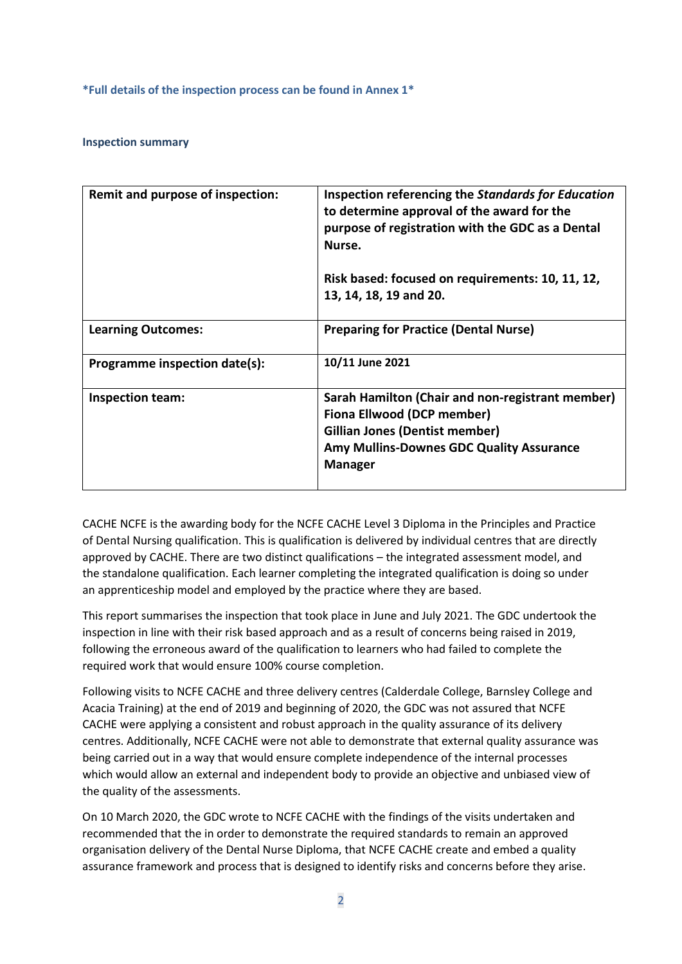**\*Full details of the inspection process can be found in Annex 1\***

## **Inspection summary**

| Remit and purpose of inspection: | Inspection referencing the Standards for Education<br>to determine approval of the award for the<br>purpose of registration with the GDC as a Dental<br>Nurse.                        |
|----------------------------------|---------------------------------------------------------------------------------------------------------------------------------------------------------------------------------------|
|                                  | Risk based: focused on requirements: 10, 11, 12,<br>13, 14, 18, 19 and 20.                                                                                                            |
| <b>Learning Outcomes:</b>        | <b>Preparing for Practice (Dental Nurse)</b>                                                                                                                                          |
| Programme inspection date(s):    | 10/11 June 2021                                                                                                                                                                       |
| Inspection team:                 | Sarah Hamilton (Chair and non-registrant member)<br>Fiona Ellwood (DCP member)<br><b>Gillian Jones (Dentist member)</b><br>Amy Mullins-Downes GDC Quality Assurance<br><b>Manager</b> |

CACHE NCFE is the awarding body for the NCFE CACHE Level 3 Diploma in the Principles and Practice of Dental Nursing qualification. This is qualification is delivered by individual centres that are directly approved by CACHE. There are two distinct qualifications – the integrated assessment model, and the standalone qualification. Each learner completing the integrated qualification is doing so under an apprenticeship model and employed by the practice where they are based.

This report summarises the inspection that took place in June and July 2021. The GDC undertook the inspection in line with their risk based approach and as a result of concerns being raised in 2019, following the erroneous award of the qualification to learners who had failed to complete the required work that would ensure 100% course completion.

Following visits to NCFE CACHE and three delivery centres (Calderdale College, Barnsley College and Acacia Training) at the end of 2019 and beginning of 2020, the GDC was not assured that NCFE CACHE were applying a consistent and robust approach in the quality assurance of its delivery centres. Additionally, NCFE CACHE were not able to demonstrate that external quality assurance was being carried out in a way that would ensure complete independence of the internal processes which would allow an external and independent body to provide an objective and unbiased view of the quality of the assessments.

On 10 March 2020, the GDC wrote to NCFE CACHE with the findings of the visits undertaken and recommended that the in order to demonstrate the required standards to remain an approved organisation delivery of the Dental Nurse Diploma, that NCFE CACHE create and embed a quality assurance framework and process that is designed to identify risks and concerns before they arise.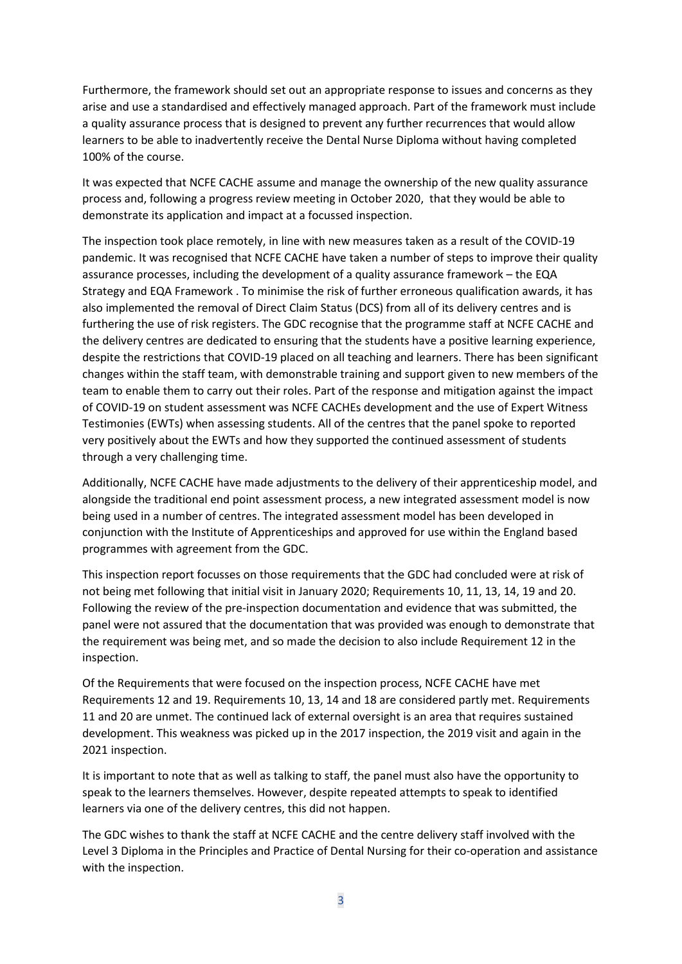Furthermore, the framework should set out an appropriate response to issues and concerns as they arise and use a standardised and effectively managed approach. Part of the framework must include a quality assurance process that is designed to prevent any further recurrences that would allow learners to be able to inadvertently receive the Dental Nurse Diploma without having completed 100% of the course.

It was expected that NCFE CACHE assume and manage the ownership of the new quality assurance process and, following a progress review meeting in October 2020, that they would be able to demonstrate its application and impact at a focussed inspection.

The inspection took place remotely, in line with new measures taken as a result of the COVID-19 pandemic. It was recognised that NCFE CACHE have taken a number of steps to improve their quality assurance processes, including the development of a quality assurance framework – the EQA Strategy and EQA Framework . To minimise the risk of further erroneous qualification awards, it has also implemented the removal of Direct Claim Status (DCS) from all of its delivery centres and is furthering the use of risk registers. The GDC recognise that the programme staff at NCFE CACHE and the delivery centres are dedicated to ensuring that the students have a positive learning experience, despite the restrictions that COVID-19 placed on all teaching and learners. There has been significant changes within the staff team, with demonstrable training and support given to new members of the team to enable them to carry out their roles. Part of the response and mitigation against the impact of COVID-19 on student assessment was NCFE CACHEs development and the use of Expert Witness Testimonies (EWTs) when assessing students. All of the centres that the panel spoke to reported very positively about the EWTs and how they supported the continued assessment of students through a very challenging time.

Additionally, NCFE CACHE have made adjustments to the delivery of their apprenticeship model, and alongside the traditional end point assessment process, a new integrated assessment model is now being used in a number of centres. The integrated assessment model has been developed in conjunction with the Institute of Apprenticeships and approved for use within the England based programmes with agreement from the GDC.

This inspection report focusses on those requirements that the GDC had concluded were at risk of not being met following that initial visit in January 2020; Requirements 10, 11, 13, 14, 19 and 20. Following the review of the pre-inspection documentation and evidence that was submitted, the panel were not assured that the documentation that was provided was enough to demonstrate that the requirement was being met, and so made the decision to also include Requirement 12 in the inspection.

Of the Requirements that were focused on the inspection process, NCFE CACHE have met Requirements 12 and 19. Requirements 10, 13, 14 and 18 are considered partly met. Requirements 11 and 20 are unmet. The continued lack of external oversight is an area that requires sustained development. This weakness was picked up in the 2017 inspection, the 2019 visit and again in the 2021 inspection.

It is important to note that as well as talking to staff, the panel must also have the opportunity to speak to the learners themselves. However, despite repeated attempts to speak to identified learners via one of the delivery centres, this did not happen.

The GDC wishes to thank the staff at NCFE CACHE and the centre delivery staff involved with the Level 3 Diploma in the Principles and Practice of Dental Nursing for their co-operation and assistance with the inspection.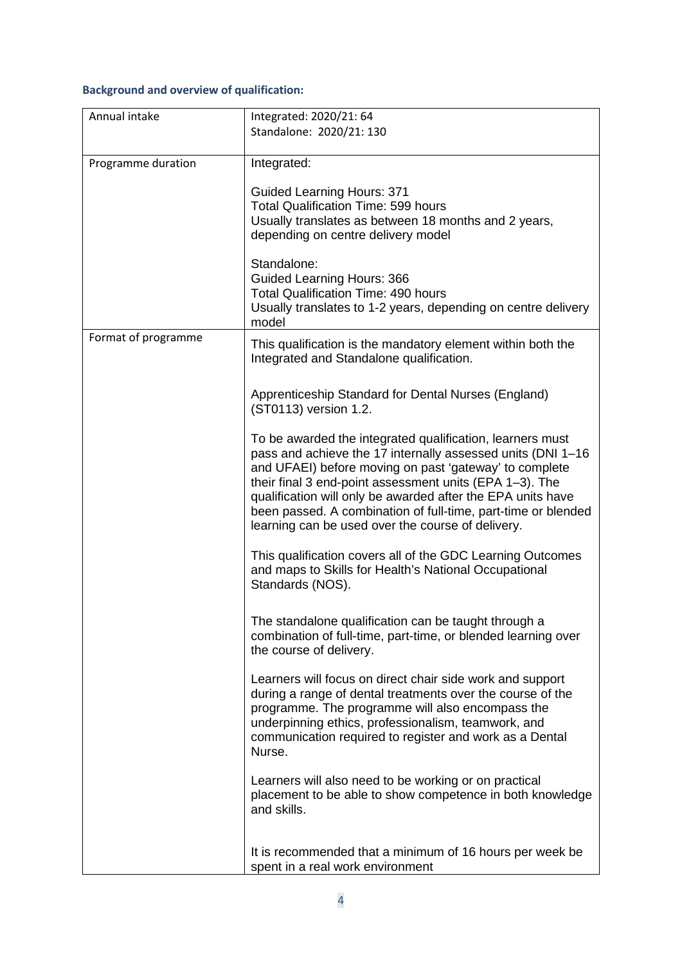# **Background and overview of qualification:**

| Annual intake       | Integrated: 2020/21: 64<br>Standalone: 2020/21: 130                                                                                                                                                                                                                                                                                                                                                                                |
|---------------------|------------------------------------------------------------------------------------------------------------------------------------------------------------------------------------------------------------------------------------------------------------------------------------------------------------------------------------------------------------------------------------------------------------------------------------|
| Programme duration  | Integrated:<br><b>Guided Learning Hours: 371</b><br><b>Total Qualification Time: 599 hours</b><br>Usually translates as between 18 months and 2 years,<br>depending on centre delivery model                                                                                                                                                                                                                                       |
|                     | Standalone:<br><b>Guided Learning Hours: 366</b><br><b>Total Qualification Time: 490 hours</b><br>Usually translates to 1-2 years, depending on centre delivery<br>model                                                                                                                                                                                                                                                           |
| Format of programme | This qualification is the mandatory element within both the<br>Integrated and Standalone qualification.                                                                                                                                                                                                                                                                                                                            |
|                     | Apprenticeship Standard for Dental Nurses (England)<br>(ST0113) version 1.2.                                                                                                                                                                                                                                                                                                                                                       |
|                     | To be awarded the integrated qualification, learners must<br>pass and achieve the 17 internally assessed units (DNI 1-16<br>and UFAEI) before moving on past 'gateway' to complete<br>their final 3 end-point assessment units (EPA 1-3). The<br>qualification will only be awarded after the EPA units have<br>been passed. A combination of full-time, part-time or blended<br>learning can be used over the course of delivery. |
|                     | This qualification covers all of the GDC Learning Outcomes<br>and maps to Skills for Health's National Occupational<br>Standards (NOS).                                                                                                                                                                                                                                                                                            |
|                     | The standalone qualification can be taught through a<br>combination of full-time, part-time, or blended learning over<br>the course of delivery.                                                                                                                                                                                                                                                                                   |
|                     | Learners will focus on direct chair side work and support<br>during a range of dental treatments over the course of the<br>programme. The programme will also encompass the<br>underpinning ethics, professionalism, teamwork, and<br>communication required to register and work as a Dental<br>Nurse.                                                                                                                            |
|                     | Learners will also need to be working or on practical<br>placement to be able to show competence in both knowledge<br>and skills.                                                                                                                                                                                                                                                                                                  |
|                     | It is recommended that a minimum of 16 hours per week be<br>spent in a real work environment                                                                                                                                                                                                                                                                                                                                       |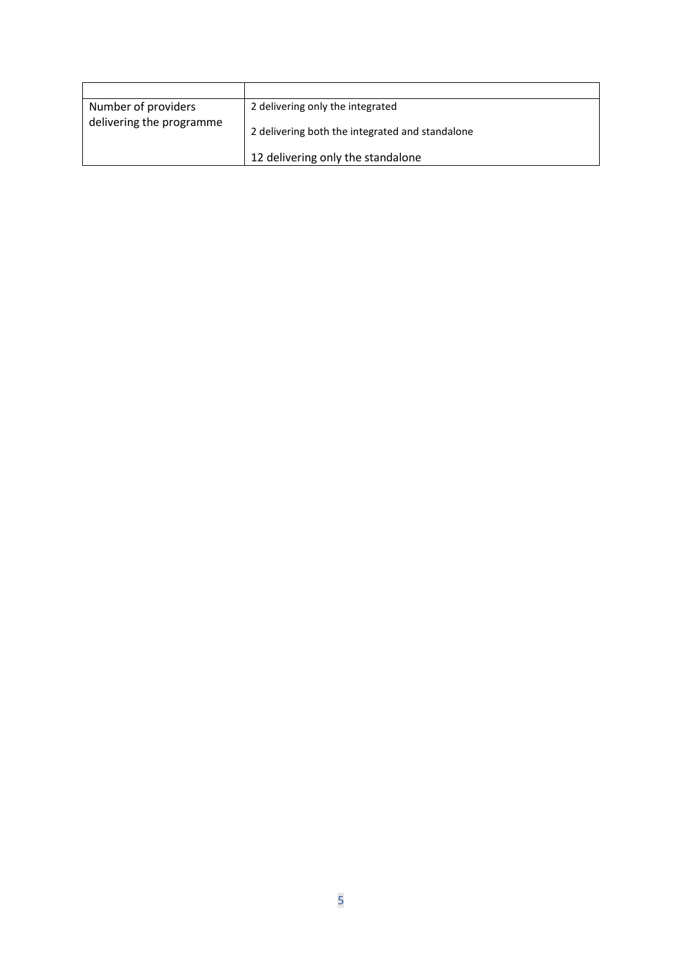| Number of providers      | 2 delivering only the integrated                |
|--------------------------|-------------------------------------------------|
| delivering the programme | 2 delivering both the integrated and standalone |
|                          | 12 delivering only the standalone               |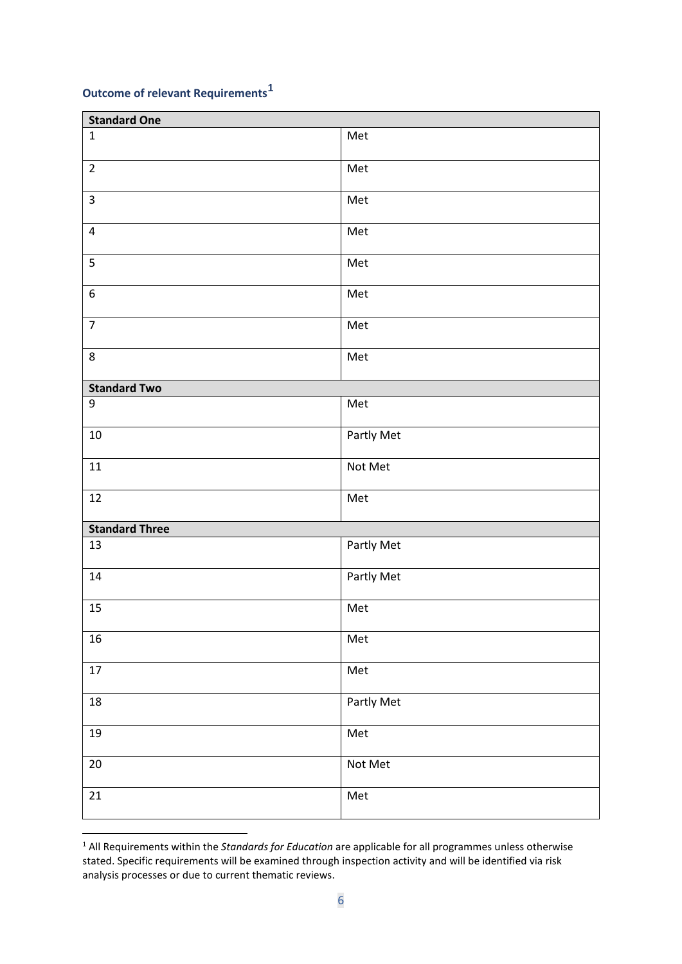# **Outcome of relevant Requirements[1](#page-5-0)**

| <b>Standard One</b>     |            |  |
|-------------------------|------------|--|
| $\mathbf{1}$            | Met        |  |
| $\overline{2}$          | Met        |  |
| $\overline{\mathbf{3}}$ | Met        |  |
| $\overline{\mathbf{4}}$ | Met        |  |
| 5                       | Met        |  |
| $\boldsymbol{6}$        | Met        |  |
| $\overline{7}$          | Met        |  |
| 8                       | Met        |  |
| <b>Standard Two</b>     |            |  |
| $\boldsymbol{9}$        | Met        |  |
| $10\,$                  | Partly Met |  |
| $11\,$                  | Not Met    |  |
| $12\,$                  | Met        |  |
| <b>Standard Three</b>   |            |  |
| 13                      | Partly Met |  |
| 14                      | Partly Met |  |
| 15                      | Met        |  |
| $16\,$                  | Met        |  |
| $17\,$                  | Met        |  |
| 18                      | Partly Met |  |
| 19                      | Met        |  |
| $20\,$                  | Not Met    |  |
| $21\,$                  | Met        |  |

<span id="page-5-0"></span> All Requirements within the *Standards for Education* are applicable for all programmes unless otherwise stated. Specific requirements will be examined through inspection activity and will be identified via risk analysis processes or due to current thematic reviews.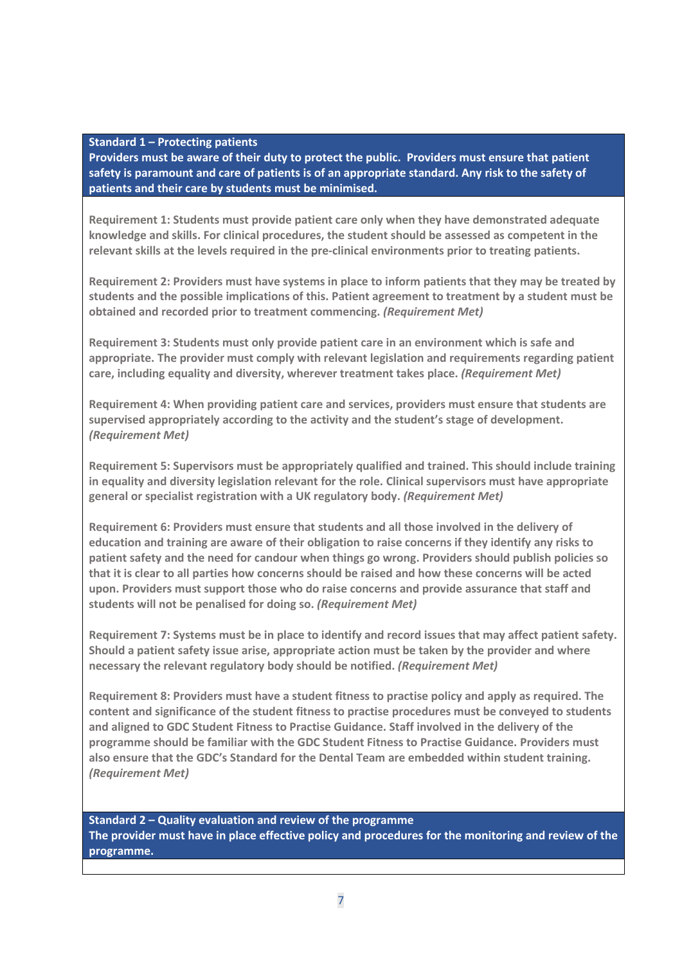#### **Standard 1 – Protecting patients**

**Providers must be aware of their duty to protect the public. Providers must ensure that patient safety is paramount and care of patients is of an appropriate standard. Any risk to the safety of patients and their care by students must be minimised.**

**Requirement 1: Students must provide patient care only when they have demonstrated adequate knowledge and skills. For clinical procedures, the student should be assessed as competent in the relevant skills at the levels required in the pre-clinical environments prior to treating patients.** 

**Requirement 2: Providers must have systems in place to inform patients that they may be treated by students and the possible implications of this. Patient agreement to treatment by a student must be obtained and recorded prior to treatment commencing.** *(Requirement Met)*

**Requirement 3: Students must only provide patient care in an environment which is safe and appropriate. The provider must comply with relevant legislation and requirements regarding patient care, including equality and diversity, wherever treatment takes place.** *(Requirement Met)*

**Requirement 4: When providing patient care and services, providers must ensure that students are supervised appropriately according to the activity and the student's stage of development.**  *(Requirement Met)*

**Requirement 5: Supervisors must be appropriately qualified and trained. This should include training in equality and diversity legislation relevant for the role. Clinical supervisors must have appropriate general or specialist registration with a UK regulatory body.** *(Requirement Met)*

**Requirement 6: Providers must ensure that students and all those involved in the delivery of education and training are aware of their obligation to raise concerns if they identify any risks to patient safety and the need for candour when things go wrong. Providers should publish policies so that it is clear to all parties how concerns should be raised and how these concerns will be acted upon. Providers must support those who do raise concerns and provide assurance that staff and students will not be penalised for doing so.** *(Requirement Met)*

**Requirement 7: Systems must be in place to identify and record issues that may affect patient safety. Should a patient safety issue arise, appropriate action must be taken by the provider and where necessary the relevant regulatory body should be notified.** *(Requirement Met)*

**Requirement 8: Providers must have a student fitness to practise policy and apply as required. The content and significance of the student fitness to practise procedures must be conveyed to students and aligned to GDC Student Fitness to Practise Guidance. Staff involved in the delivery of the programme should be familiar with the GDC Student Fitness to Practise Guidance. Providers must also ensure that the GDC's Standard for the Dental Team are embedded within student training.**  *(Requirement Met)*

**Standard 2 – Quality evaluation and review of the programme The provider must have in place effective policy and procedures for the monitoring and review of the programme.**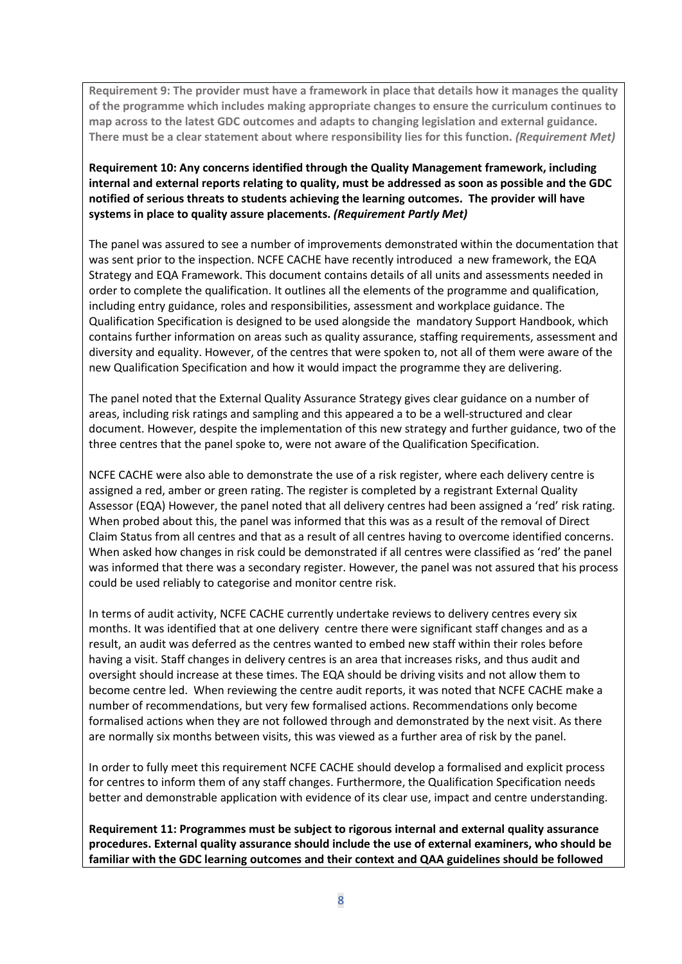**Requirement 9: The provider must have a framework in place that details how it manages the quality of the programme which includes making appropriate changes to ensure the curriculum continues to map across to the latest GDC outcomes and adapts to changing legislation and external guidance. There must be a clear statement about where responsibility lies for this function.** *(Requirement Met)*

**Requirement 10: Any concerns identified through the Quality Management framework, including internal and external reports relating to quality, must be addressed as soon as possible and the GDC notified of serious threats to students achieving the learning outcomes. The provider will have systems in place to quality assure placements.** *(Requirement Partly Met)*

The panel was assured to see a number of improvements demonstrated within the documentation that was sent prior to the inspection. NCFE CACHE have recently introduced a new framework, the EQA Strategy and EQA Framework. This document contains details of all units and assessments needed in order to complete the qualification. It outlines all the elements of the programme and qualification, including entry guidance, roles and responsibilities, assessment and workplace guidance. The Qualification Specification is designed to be used alongside the mandatory Support Handbook, which contains further information on areas such as quality assurance, staffing requirements, assessment and diversity and equality. However, of the centres that were spoken to, not all of them were aware of the new Qualification Specification and how it would impact the programme they are delivering.

The panel noted that the External Quality Assurance Strategy gives clear guidance on a number of areas, including risk ratings and sampling and this appeared a to be a well-structured and clear document. However, despite the implementation of this new strategy and further guidance, two of the three centres that the panel spoke to, were not aware of the Qualification Specification.

NCFE CACHE were also able to demonstrate the use of a risk register, where each delivery centre is assigned a red, amber or green rating. The register is completed by a registrant External Quality Assessor (EQA) However, the panel noted that all delivery centres had been assigned a 'red' risk rating. When probed about this, the panel was informed that this was as a result of the removal of Direct Claim Status from all centres and that as a result of all centres having to overcome identified concerns. When asked how changes in risk could be demonstrated if all centres were classified as 'red' the panel was informed that there was a secondary register. However, the panel was not assured that his process could be used reliably to categorise and monitor centre risk.

In terms of audit activity, NCFE CACHE currently undertake reviews to delivery centres every six months. It was identified that at one delivery centre there were significant staff changes and as a result, an audit was deferred as the centres wanted to embed new staff within their roles before having a visit. Staff changes in delivery centres is an area that increases risks, and thus audit and oversight should increase at these times. The EQA should be driving visits and not allow them to become centre led. When reviewing the centre audit reports, it was noted that NCFE CACHE make a number of recommendations, but very few formalised actions. Recommendations only become formalised actions when they are not followed through and demonstrated by the next visit. As there are normally six months between visits, this was viewed as a further area of risk by the panel.

In order to fully meet this requirement NCFE CACHE should develop a formalised and explicit process for centres to inform them of any staff changes. Furthermore, the Qualification Specification needs better and demonstrable application with evidence of its clear use, impact and centre understanding.

**Requirement 11: Programmes must be subject to rigorous internal and external quality assurance procedures. External quality assurance should include the use of external examiners, who should be familiar with the GDC learning outcomes and their context and QAA guidelines should be followed**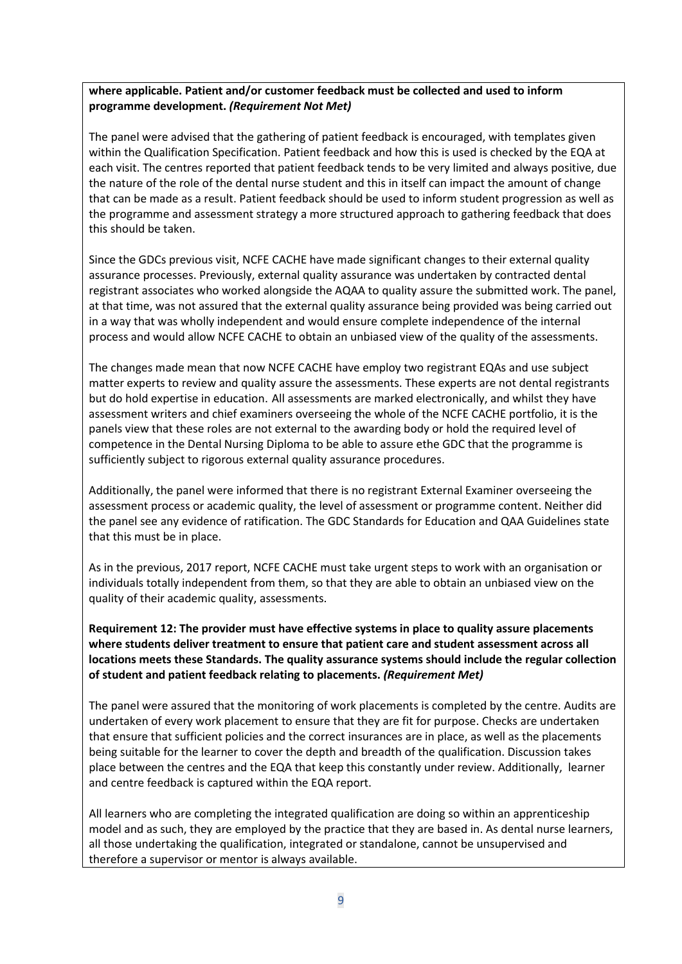### **where applicable. Patient and/or customer feedback must be collected and used to inform programme development.** *(Requirement Not Met)*

The panel were advised that the gathering of patient feedback is encouraged, with templates given within the Qualification Specification. Patient feedback and how this is used is checked by the EQA at each visit. The centres reported that patient feedback tends to be very limited and always positive, due the nature of the role of the dental nurse student and this in itself can impact the amount of change that can be made as a result. Patient feedback should be used to inform student progression as well as the programme and assessment strategy a more structured approach to gathering feedback that does this should be taken.

Since the GDCs previous visit, NCFE CACHE have made significant changes to their external quality assurance processes. Previously, external quality assurance was undertaken by contracted dental registrant associates who worked alongside the AQAA to quality assure the submitted work. The panel, at that time, was not assured that the external quality assurance being provided was being carried out in a way that was wholly independent and would ensure complete independence of the internal process and would allow NCFE CACHE to obtain an unbiased view of the quality of the assessments.

The changes made mean that now NCFE CACHE have employ two registrant EQAs and use subject matter experts to review and quality assure the assessments. These experts are not dental registrants but do hold expertise in education. All assessments are marked electronically, and whilst they have assessment writers and chief examiners overseeing the whole of the NCFE CACHE portfolio, it is the panels view that these roles are not external to the awarding body or hold the required level of competence in the Dental Nursing Diploma to be able to assure ethe GDC that the programme is sufficiently subject to rigorous external quality assurance procedures.

Additionally, the panel were informed that there is no registrant External Examiner overseeing the assessment process or academic quality, the level of assessment or programme content. Neither did the panel see any evidence of ratification. The GDC Standards for Education and QAA Guidelines state that this must be in place.

As in the previous, 2017 report, NCFE CACHE must take urgent steps to work with an organisation or individuals totally independent from them, so that they are able to obtain an unbiased view on the quality of their academic quality, assessments.

**Requirement 12: The provider must have effective systems in place to quality assure placements where students deliver treatment to ensure that patient care and student assessment across all locations meets these Standards. The quality assurance systems should include the regular collection of student and patient feedback relating to placements.** *(Requirement Met)*

The panel were assured that the monitoring of work placements is completed by the centre. Audits are undertaken of every work placement to ensure that they are fit for purpose. Checks are undertaken that ensure that sufficient policies and the correct insurances are in place, as well as the placements being suitable for the learner to cover the depth and breadth of the qualification. Discussion takes place between the centres and the EQA that keep this constantly under review. Additionally, learner and centre feedback is captured within the EQA report.

All learners who are completing the integrated qualification are doing so within an apprenticeship model and as such, they are employed by the practice that they are based in. As dental nurse learners, all those undertaking the qualification, integrated or standalone, cannot be unsupervised and therefore a supervisor or mentor is always available.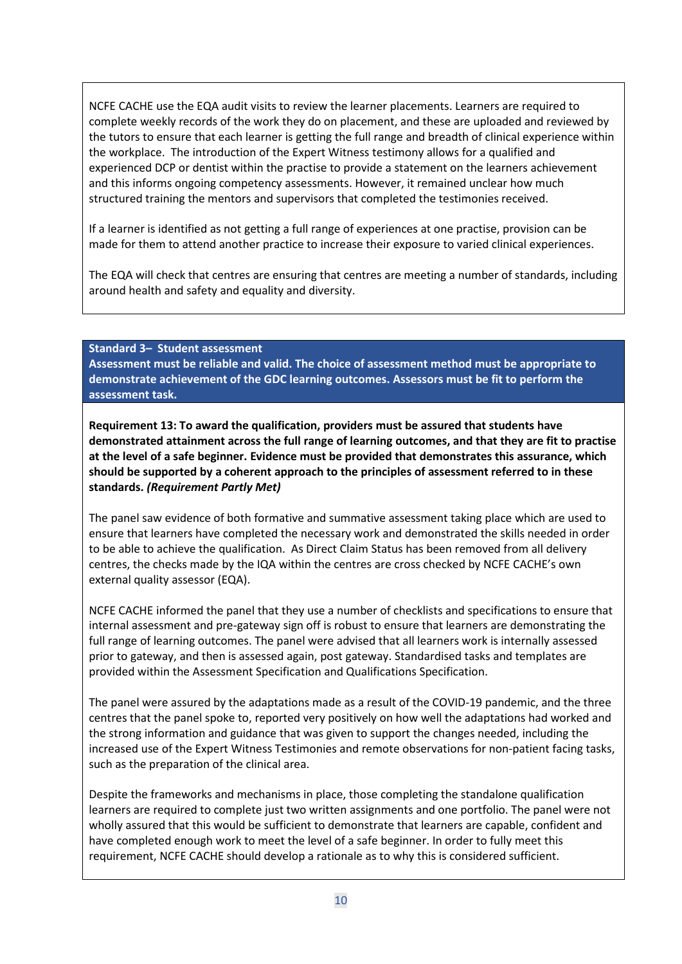NCFE CACHE use the EQA audit visits to review the learner placements. Learners are required to complete weekly records of the work they do on placement, and these are uploaded and reviewed by the tutors to ensure that each learner is getting the full range and breadth of clinical experience within the workplace. The introduction of the Expert Witness testimony allows for a qualified and experienced DCP or dentist within the practise to provide a statement on the learners achievement and this informs ongoing competency assessments. However, it remained unclear how much structured training the mentors and supervisors that completed the testimonies received.

If a learner is identified as not getting a full range of experiences at one practise, provision can be made for them to attend another practice to increase their exposure to varied clinical experiences.

The EQA will check that centres are ensuring that centres are meeting a number of standards, including around health and safety and equality and diversity.

**Standard 3– Student assessment**

**Assessment must be reliable and valid. The choice of assessment method must be appropriate to demonstrate achievement of the GDC learning outcomes. Assessors must be fit to perform the assessment task.**

**Requirement 13: To award the qualification, providers must be assured that students have demonstrated attainment across the full range of learning outcomes, and that they are fit to practise at the level of a safe beginner. Evidence must be provided that demonstrates this assurance, which should be supported by a coherent approach to the principles of assessment referred to in these standards.** *(Requirement Partly Met)*

The panel saw evidence of both formative and summative assessment taking place which are used to ensure that learners have completed the necessary work and demonstrated the skills needed in order to be able to achieve the qualification. As Direct Claim Status has been removed from all delivery centres, the checks made by the IQA within the centres are cross checked by NCFE CACHE's own external quality assessor (EQA).

NCFE CACHE informed the panel that they use a number of checklists and specifications to ensure that internal assessment and pre-gateway sign off is robust to ensure that learners are demonstrating the full range of learning outcomes. The panel were advised that all learners work is internally assessed prior to gateway, and then is assessed again, post gateway. Standardised tasks and templates are provided within the Assessment Specification and Qualifications Specification.

The panel were assured by the adaptations made as a result of the COVID-19 pandemic, and the three centres that the panel spoke to, reported very positively on how well the adaptations had worked and the strong information and guidance that was given to support the changes needed, including the increased use of the Expert Witness Testimonies and remote observations for non-patient facing tasks, such as the preparation of the clinical area.

Despite the frameworks and mechanisms in place, those completing the standalone qualification learners are required to complete just two written assignments and one portfolio. The panel were not wholly assured that this would be sufficient to demonstrate that learners are capable, confident and have completed enough work to meet the level of a safe beginner. In order to fully meet this requirement, NCFE CACHE should develop a rationale as to why this is considered sufficient.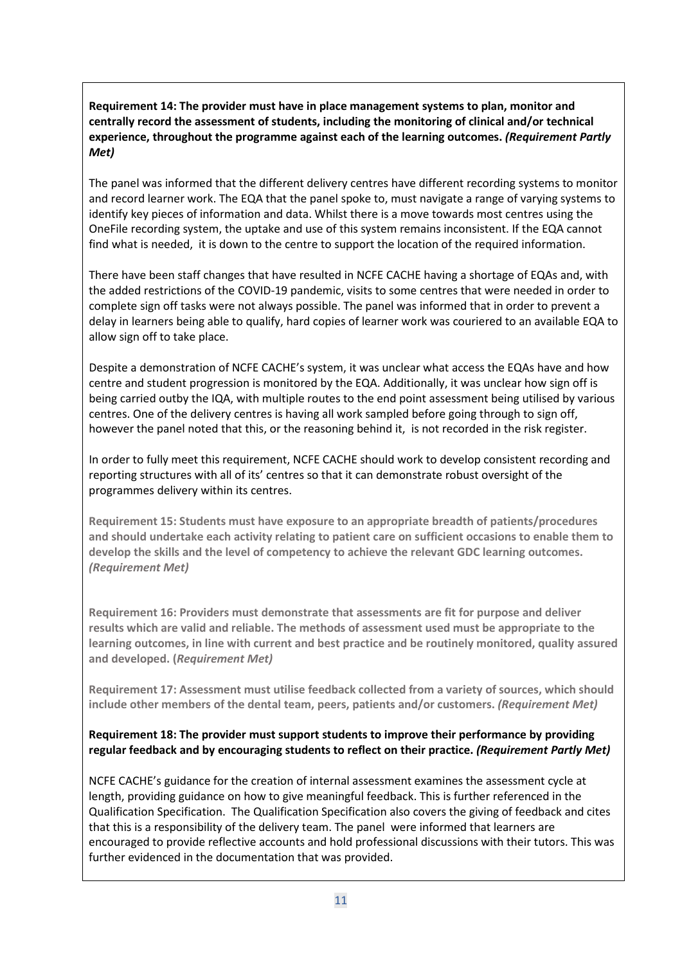**Requirement 14: The provider must have in place management systems to plan, monitor and centrally record the assessment of students, including the monitoring of clinical and/or technical experience, throughout the programme against each of the learning outcomes.** *(Requirement Partly Met)*

The panel was informed that the different delivery centres have different recording systems to monitor and record learner work. The EQA that the panel spoke to, must navigate a range of varying systems to identify key pieces of information and data. Whilst there is a move towards most centres using the OneFile recording system, the uptake and use of this system remains inconsistent. If the EQA cannot find what is needed, it is down to the centre to support the location of the required information.

There have been staff changes that have resulted in NCFE CACHE having a shortage of EQAs and, with the added restrictions of the COVID-19 pandemic, visits to some centres that were needed in order to complete sign off tasks were not always possible. The panel was informed that in order to prevent a delay in learners being able to qualify, hard copies of learner work was couriered to an available EQA to allow sign off to take place.

Despite a demonstration of NCFE CACHE's system, it was unclear what access the EQAs have and how centre and student progression is monitored by the EQA. Additionally, it was unclear how sign off is being carried outby the IQA, with multiple routes to the end point assessment being utilised by various centres. One of the delivery centres is having all work sampled before going through to sign off, however the panel noted that this, or the reasoning behind it, is not recorded in the risk register.

In order to fully meet this requirement, NCFE CACHE should work to develop consistent recording and reporting structures with all of its' centres so that it can demonstrate robust oversight of the programmes delivery within its centres.

**Requirement 15: Students must have exposure to an appropriate breadth of patients/procedures and should undertake each activity relating to patient care on sufficient occasions to enable them to develop the skills and the level of competency to achieve the relevant GDC learning outcomes.**  *(Requirement Met)*

**Requirement 16: Providers must demonstrate that assessments are fit for purpose and deliver results which are valid and reliable. The methods of assessment used must be appropriate to the learning outcomes, in line with current and best practice and be routinely monitored, quality assured and developed. (***Requirement Met)*

**Requirement 17: Assessment must utilise feedback collected from a variety of sources, which should include other members of the dental team, peers, patients and/or customers.** *(Requirement Met)*

# **Requirement 18: The provider must support students to improve their performance by providing regular feedback and by encouraging students to reflect on their practice.** *(Requirement Partly Met)*

NCFE CACHE's guidance for the creation of internal assessment examines the assessment cycle at length, providing guidance on how to give meaningful feedback. This is further referenced in the Qualification Specification. The Qualification Specification also covers the giving of feedback and cites that this is a responsibility of the delivery team. The panel were informed that learners are encouraged to provide reflective accounts and hold professional discussions with their tutors. This was further evidenced in the documentation that was provided.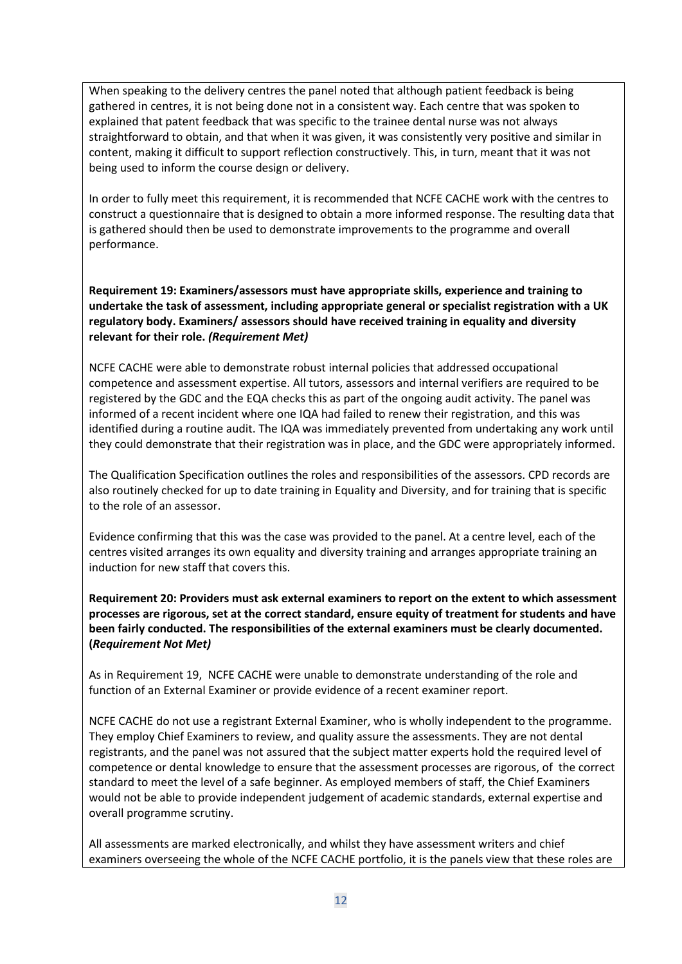When speaking to the delivery centres the panel noted that although patient feedback is being gathered in centres, it is not being done not in a consistent way. Each centre that was spoken to explained that patent feedback that was specific to the trainee dental nurse was not always straightforward to obtain, and that when it was given, it was consistently very positive and similar in content, making it difficult to support reflection constructively. This, in turn, meant that it was not being used to inform the course design or delivery.

In order to fully meet this requirement, it is recommended that NCFE CACHE work with the centres to construct a questionnaire that is designed to obtain a more informed response. The resulting data that is gathered should then be used to demonstrate improvements to the programme and overall performance.

**Requirement 19: Examiners/assessors must have appropriate skills, experience and training to undertake the task of assessment, including appropriate general or specialist registration with a UK regulatory body. Examiners/ assessors should have received training in equality and diversity relevant for their role.** *(Requirement Met)*

NCFE CACHE were able to demonstrate robust internal policies that addressed occupational competence and assessment expertise. All tutors, assessors and internal verifiers are required to be registered by the GDC and the EQA checks this as part of the ongoing audit activity. The panel was informed of a recent incident where one IQA had failed to renew their registration, and this was identified during a routine audit. The IQA was immediately prevented from undertaking any work until they could demonstrate that their registration was in place, and the GDC were appropriately informed.

The Qualification Specification outlines the roles and responsibilities of the assessors. CPD records are also routinely checked for up to date training in Equality and Diversity, and for training that is specific to the role of an assessor.

Evidence confirming that this was the case was provided to the panel. At a centre level, each of the centres visited arranges its own equality and diversity training and arranges appropriate training an induction for new staff that covers this.

**Requirement 20: Providers must ask external examiners to report on the extent to which assessment processes are rigorous, set at the correct standard, ensure equity of treatment for students and have been fairly conducted. The responsibilities of the external examiners must be clearly documented. (***Requirement Not Met)*

As in Requirement 19, NCFE CACHE were unable to demonstrate understanding of the role and function of an External Examiner or provide evidence of a recent examiner report.

NCFE CACHE do not use a registrant External Examiner, who is wholly independent to the programme. They employ Chief Examiners to review, and quality assure the assessments. They are not dental registrants, and the panel was not assured that the subject matter experts hold the required level of competence or dental knowledge to ensure that the assessment processes are rigorous, of the correct standard to meet the level of a safe beginner. As employed members of staff, the Chief Examiners would not be able to provide independent judgement of academic standards, external expertise and overall programme scrutiny.

All assessments are marked electronically, and whilst they have assessment writers and chief examiners overseeing the whole of the NCFE CACHE portfolio, it is the panels view that these roles are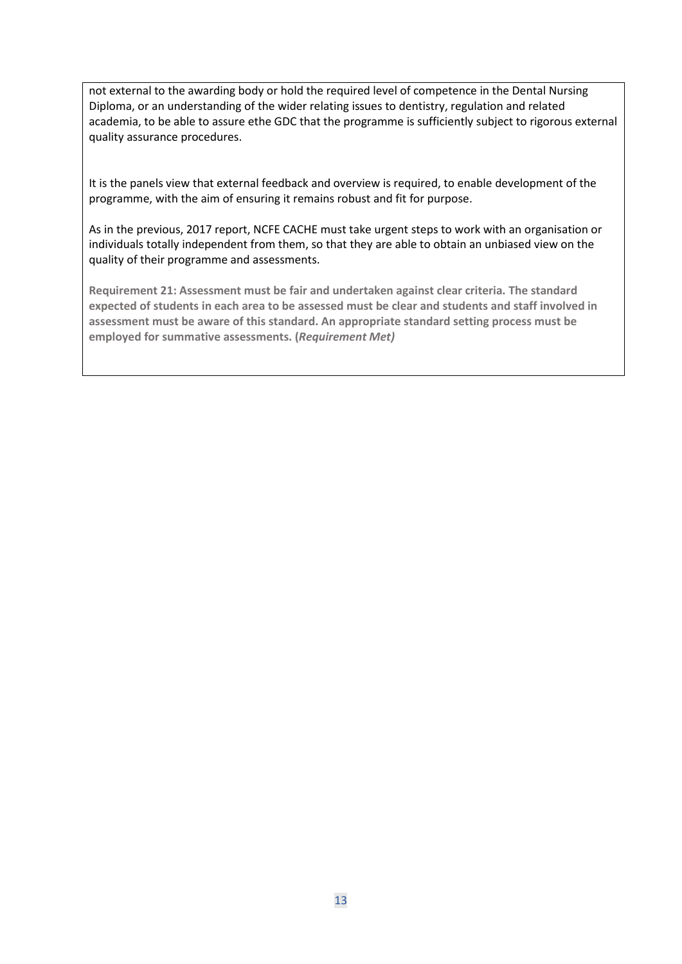not external to the awarding body or hold the required level of competence in the Dental Nursing Diploma, or an understanding of the wider relating issues to dentistry, regulation and related academia, to be able to assure ethe GDC that the programme is sufficiently subject to rigorous external quality assurance procedures.

It is the panels view that external feedback and overview is required, to enable development of the programme, with the aim of ensuring it remains robust and fit for purpose.

As in the previous, 2017 report, NCFE CACHE must take urgent steps to work with an organisation or individuals totally independent from them, so that they are able to obtain an unbiased view on the quality of their programme and assessments.

**Requirement 21: Assessment must be fair and undertaken against clear criteria. The standard expected of students in each area to be assessed must be clear and students and staff involved in assessment must be aware of this standard. An appropriate standard setting process must be employed for summative assessments. (***Requirement Met)*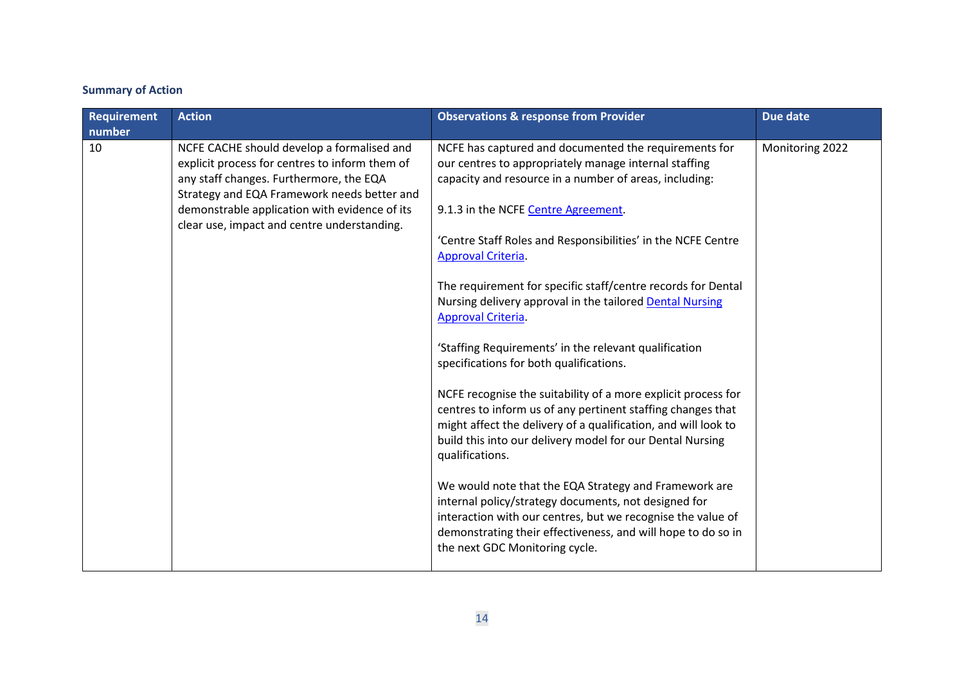# **Summary of Action**

| <b>Requirement</b> | <b>Action</b>                                                                                                                                                                                                                                                                          | <b>Observations &amp; response from Provider</b>                                                                                                                                                                                                                                                                                                                                                                                                                                                                                                                                                                                                                                                                                                                                                                                                                                                                                                                                                                                                                                                                                       | Due date        |
|--------------------|----------------------------------------------------------------------------------------------------------------------------------------------------------------------------------------------------------------------------------------------------------------------------------------|----------------------------------------------------------------------------------------------------------------------------------------------------------------------------------------------------------------------------------------------------------------------------------------------------------------------------------------------------------------------------------------------------------------------------------------------------------------------------------------------------------------------------------------------------------------------------------------------------------------------------------------------------------------------------------------------------------------------------------------------------------------------------------------------------------------------------------------------------------------------------------------------------------------------------------------------------------------------------------------------------------------------------------------------------------------------------------------------------------------------------------------|-----------------|
| number             |                                                                                                                                                                                                                                                                                        |                                                                                                                                                                                                                                                                                                                                                                                                                                                                                                                                                                                                                                                                                                                                                                                                                                                                                                                                                                                                                                                                                                                                        |                 |
| 10                 | NCFE CACHE should develop a formalised and<br>explicit process for centres to inform them of<br>any staff changes. Furthermore, the EQA<br>Strategy and EQA Framework needs better and<br>demonstrable application with evidence of its<br>clear use, impact and centre understanding. | NCFE has captured and documented the requirements for<br>our centres to appropriately manage internal staffing<br>capacity and resource in a number of areas, including:<br>9.1.3 in the NCFE Centre Agreement.<br>'Centre Staff Roles and Responsibilities' in the NCFE Centre<br>Approval Criteria.<br>The requirement for specific staff/centre records for Dental<br>Nursing delivery approval in the tailored <b>Dental Nursing</b><br>Approval Criteria.<br>'Staffing Requirements' in the relevant qualification<br>specifications for both qualifications.<br>NCFE recognise the suitability of a more explicit process for<br>centres to inform us of any pertinent staffing changes that<br>might affect the delivery of a qualification, and will look to<br>build this into our delivery model for our Dental Nursing<br>qualifications.<br>We would note that the EQA Strategy and Framework are<br>internal policy/strategy documents, not designed for<br>interaction with our centres, but we recognise the value of<br>demonstrating their effectiveness, and will hope to do so in<br>the next GDC Monitoring cycle. | Monitoring 2022 |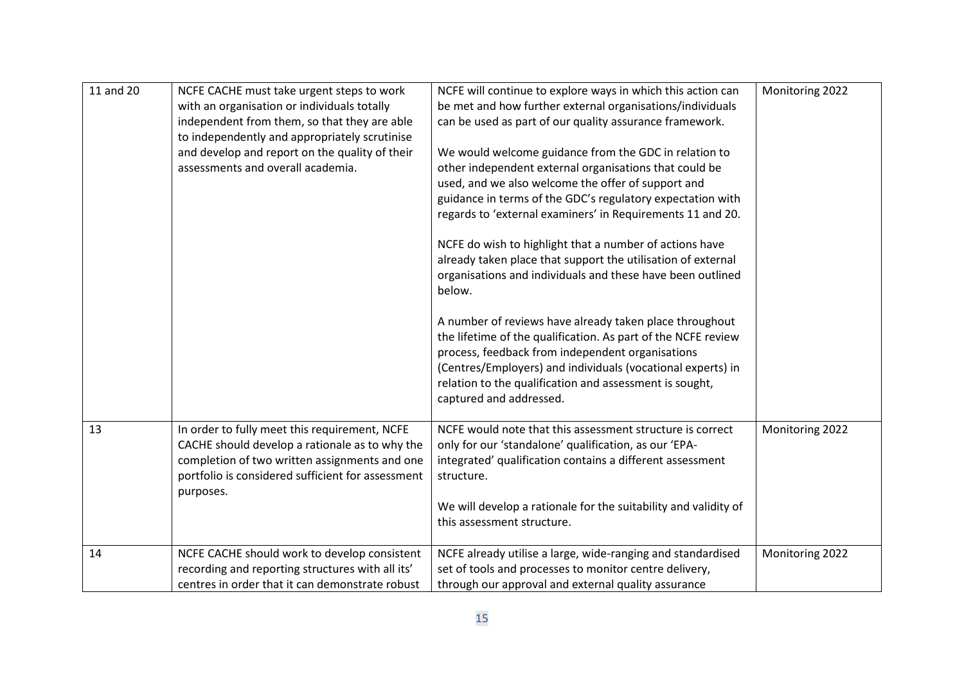| 11 and 20 |                                                   | NCFE will continue to explore ways in which this action can     | Monitoring 2022 |
|-----------|---------------------------------------------------|-----------------------------------------------------------------|-----------------|
|           | NCFE CACHE must take urgent steps to work         |                                                                 |                 |
|           | with an organisation or individuals totally       | be met and how further external organisations/individuals       |                 |
|           | independent from them, so that they are able      | can be used as part of our quality assurance framework.         |                 |
|           | to independently and appropriately scrutinise     |                                                                 |                 |
|           | and develop and report on the quality of their    | We would welcome guidance from the GDC in relation to           |                 |
|           | assessments and overall academia.                 | other independent external organisations that could be          |                 |
|           |                                                   | used, and we also welcome the offer of support and              |                 |
|           |                                                   | guidance in terms of the GDC's regulatory expectation with      |                 |
|           |                                                   | regards to 'external examiners' in Requirements 11 and 20.      |                 |
|           |                                                   |                                                                 |                 |
|           |                                                   | NCFE do wish to highlight that a number of actions have         |                 |
|           |                                                   | already taken place that support the utilisation of external    |                 |
|           |                                                   | organisations and individuals and these have been outlined      |                 |
|           |                                                   | below.                                                          |                 |
|           |                                                   |                                                                 |                 |
|           |                                                   |                                                                 |                 |
|           |                                                   | A number of reviews have already taken place throughout         |                 |
|           |                                                   | the lifetime of the qualification. As part of the NCFE review   |                 |
|           |                                                   | process, feedback from independent organisations                |                 |
|           |                                                   | (Centres/Employers) and individuals (vocational experts) in     |                 |
|           |                                                   | relation to the qualification and assessment is sought,         |                 |
|           |                                                   | captured and addressed.                                         |                 |
|           |                                                   |                                                                 |                 |
| 13        | In order to fully meet this requirement, NCFE     | NCFE would note that this assessment structure is correct       | Monitoring 2022 |
|           | CACHE should develop a rationale as to why the    | only for our 'standalone' qualification, as our 'EPA-           |                 |
|           | completion of two written assignments and one     | integrated' qualification contains a different assessment       |                 |
|           | portfolio is considered sufficient for assessment | structure.                                                      |                 |
|           | purposes.                                         |                                                                 |                 |
|           |                                                   | We will develop a rationale for the suitability and validity of |                 |
|           |                                                   | this assessment structure.                                      |                 |
|           |                                                   |                                                                 |                 |
| 14        | NCFE CACHE should work to develop consistent      | NCFE already utilise a large, wide-ranging and standardised     | Monitoring 2022 |
|           | recording and reporting structures with all its'  | set of tools and processes to monitor centre delivery,          |                 |
|           | centres in order that it can demonstrate robust   | through our approval and external quality assurance             |                 |
|           |                                                   |                                                                 |                 |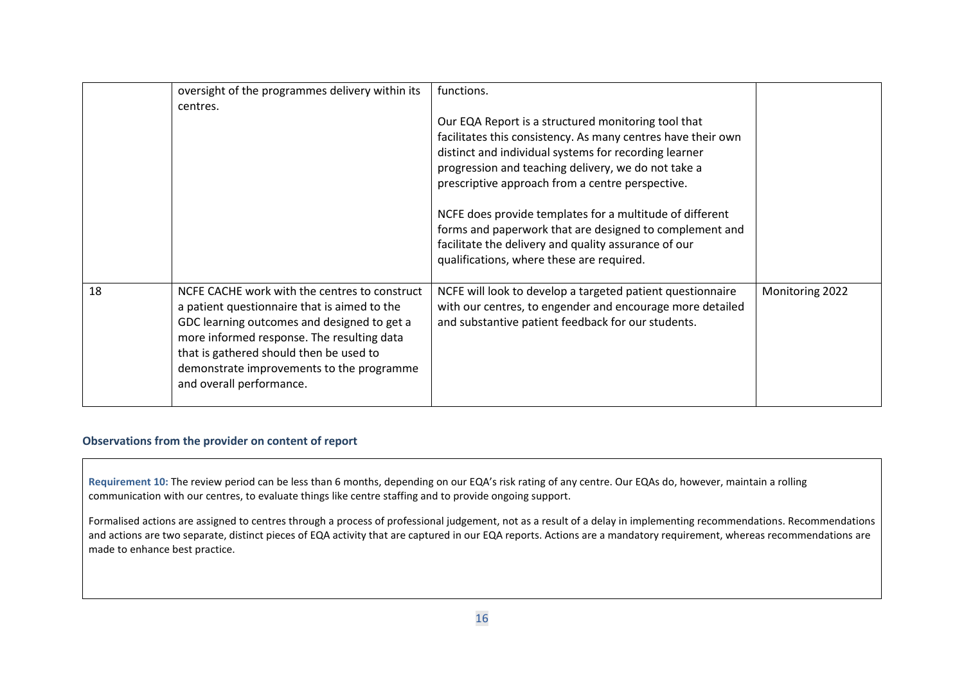|    | oversight of the programmes delivery within its<br>centres.                                                                                                                                                                                                                                                    | functions.<br>Our EQA Report is a structured monitoring tool that<br>facilitates this consistency. As many centres have their own<br>distinct and individual systems for recording learner<br>progression and teaching delivery, we do not take a<br>prescriptive approach from a centre perspective.<br>NCFE does provide templates for a multitude of different<br>forms and paperwork that are designed to complement and<br>facilitate the delivery and quality assurance of our<br>qualifications, where these are required. |                 |
|----|----------------------------------------------------------------------------------------------------------------------------------------------------------------------------------------------------------------------------------------------------------------------------------------------------------------|-----------------------------------------------------------------------------------------------------------------------------------------------------------------------------------------------------------------------------------------------------------------------------------------------------------------------------------------------------------------------------------------------------------------------------------------------------------------------------------------------------------------------------------|-----------------|
| 18 | NCFE CACHE work with the centres to construct<br>a patient questionnaire that is aimed to the<br>GDC learning outcomes and designed to get a<br>more informed response. The resulting data<br>that is gathered should then be used to<br>demonstrate improvements to the programme<br>and overall performance. | NCFE will look to develop a targeted patient questionnaire<br>with our centres, to engender and encourage more detailed<br>and substantive patient feedback for our students.                                                                                                                                                                                                                                                                                                                                                     | Monitoring 2022 |

#### **Observations from the provider on content of report**

**Requirement 10:** The review period can be less than 6 months, depending on our EQA's risk rating of any centre. Our EQAs do, however, maintain a rolling communication with our centres, to evaluate things like centre staffing and to provide ongoing support.

Formalised actions are assigned to centres through a process of professional judgement, not as a result of a delay in implementing recommendations. Recommendations and actions are two separate, distinct pieces of EQA activity that are captured in our EQA reports. Actions are a mandatory requirement, whereas recommendations are made to enhance best practice.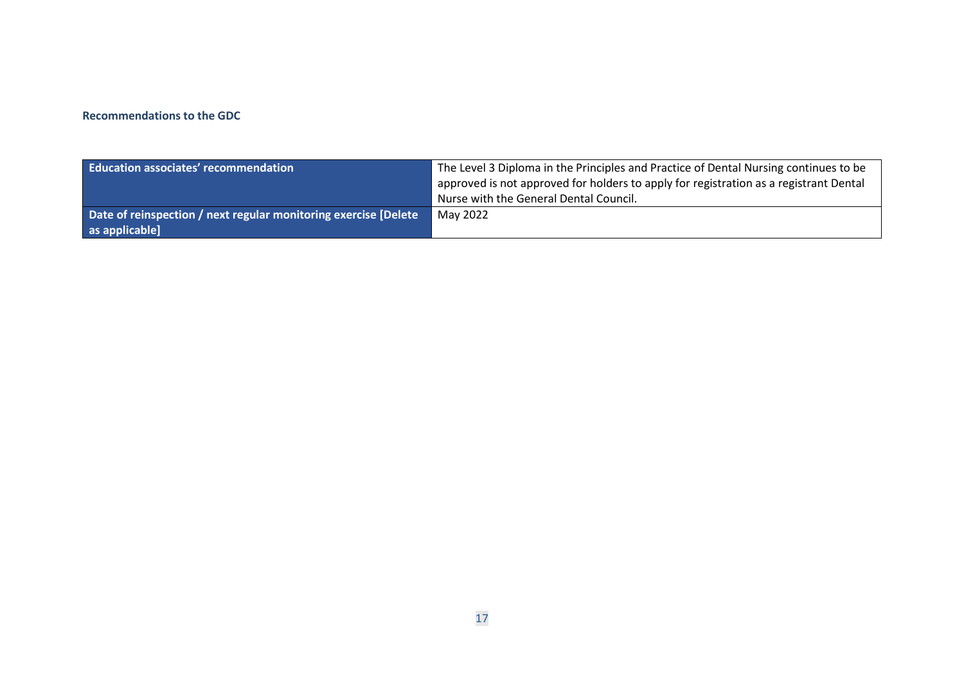#### **Recommendations to the GDC**

| <b>Education associates' recommendation</b>                     | The Level 3 Diploma in the Principles and Practice of Dental Nursing continues to be  |
|-----------------------------------------------------------------|---------------------------------------------------------------------------------------|
|                                                                 | approved is not approved for holders to apply for registration as a registrant Dental |
|                                                                 | Nurse with the General Dental Council.                                                |
| Date of reinspection / next regular monitoring exercise [Delete | May 2022                                                                              |
| as applicable]                                                  |                                                                                       |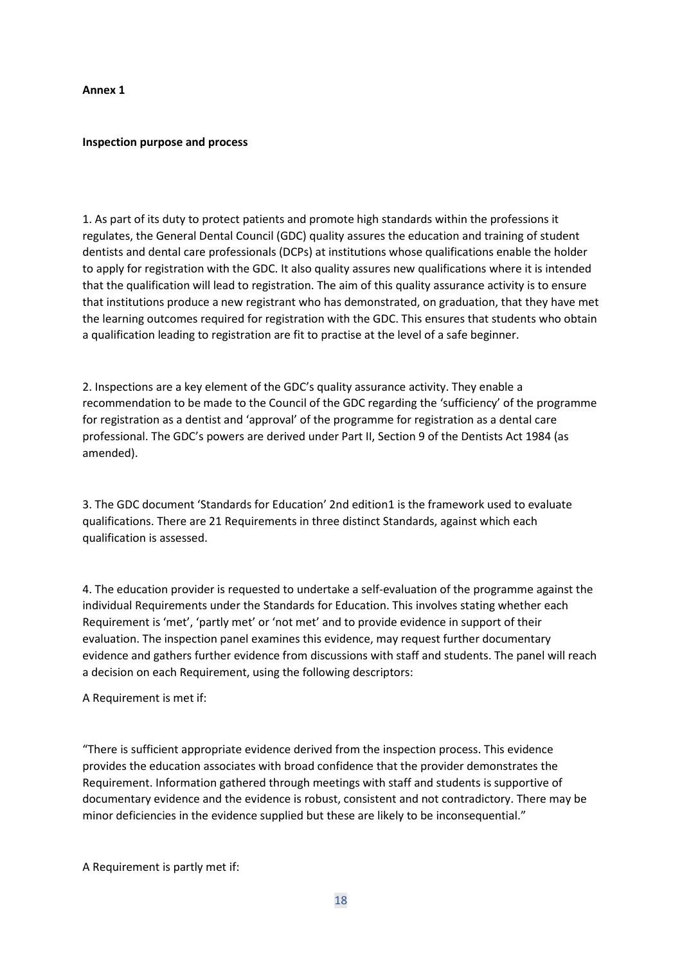#### **Annex 1**

#### **Inspection purpose and process**

1. As part of its duty to protect patients and promote high standards within the professions it regulates, the General Dental Council (GDC) quality assures the education and training of student dentists and dental care professionals (DCPs) at institutions whose qualifications enable the holder to apply for registration with the GDC. It also quality assures new qualifications where it is intended that the qualification will lead to registration. The aim of this quality assurance activity is to ensure that institutions produce a new registrant who has demonstrated, on graduation, that they have met the learning outcomes required for registration with the GDC. This ensures that students who obtain a qualification leading to registration are fit to practise at the level of a safe beginner.

2. Inspections are a key element of the GDC's quality assurance activity. They enable a recommendation to be made to the Council of the GDC regarding the 'sufficiency' of the programme for registration as a dentist and 'approval' of the programme for registration as a dental care professional. The GDC's powers are derived under Part II, Section 9 of the Dentists Act 1984 (as amended).

3. The GDC document 'Standards for Education' 2nd edition1 is the framework used to evaluate qualifications. There are 21 Requirements in three distinct Standards, against which each qualification is assessed.

4. The education provider is requested to undertake a self-evaluation of the programme against the individual Requirements under the Standards for Education. This involves stating whether each Requirement is 'met', 'partly met' or 'not met' and to provide evidence in support of their evaluation. The inspection panel examines this evidence, may request further documentary evidence and gathers further evidence from discussions with staff and students. The panel will reach a decision on each Requirement, using the following descriptors:

A Requirement is met if:

"There is sufficient appropriate evidence derived from the inspection process. This evidence provides the education associates with broad confidence that the provider demonstrates the Requirement. Information gathered through meetings with staff and students is supportive of documentary evidence and the evidence is robust, consistent and not contradictory. There may be minor deficiencies in the evidence supplied but these are likely to be inconsequential."

A Requirement is partly met if: